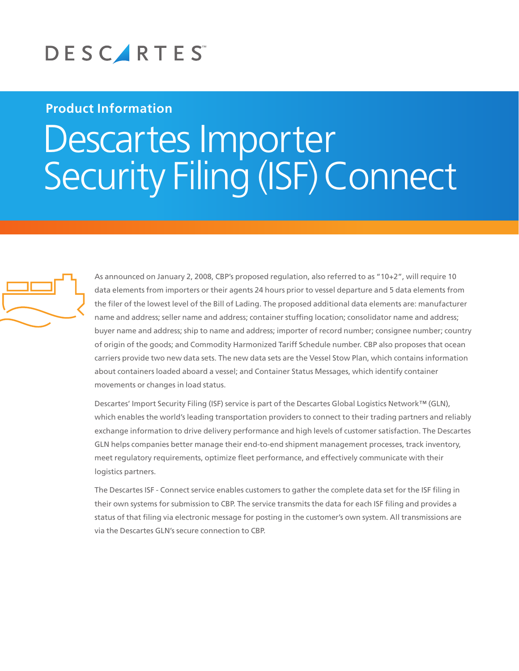

## **Product Information**

## Descartes Importer Security Filing (ISF) Connect



As announced on January 2, 2008, CBP's proposed regulation, also referred to as "10+2", will require 10 data elements from importers or their agents 24 hours prior to vessel departure and 5 data elements from the filer of the lowest level of the Bill of Lading. The proposed additional data elements are: manufacturer name and address; seller name and address; container stuffing location; consolidator name and address; buyer name and address; ship to name and address; importer of record number; consignee number; country of origin of the goods; and Commodity Harmonized Tariff Schedule number. CBP also proposes that ocean carriers provide two new data sets. The new data sets are the Vessel Stow Plan, which contains information about containers loaded aboard a vessel; and Container Status Messages, which identify container movements or changes in load status.

Descartes' Import Security Filing (ISF) service is part of the Descartes Global Logistics Network™ (GLN), which enables the world's leading transportation providers to connect to their trading partners and reliably exchange information to drive delivery performance and high levels of customer satisfaction. The Descartes GLN helps companies better manage their end-to-end shipment management processes, track inventory, meet regulatory requirements, optimize fleet performance, and effectively communicate with their logistics partners.

The Descartes ISF - Connect service enables customers to gather the complete data set for the ISF filing in their own systems for submission to CBP. The service transmits the data for each ISF filing and provides a status of that filing via electronic message for posting in the customer's own system. All transmissions are via the Descartes GLN's secure connection to CBP.